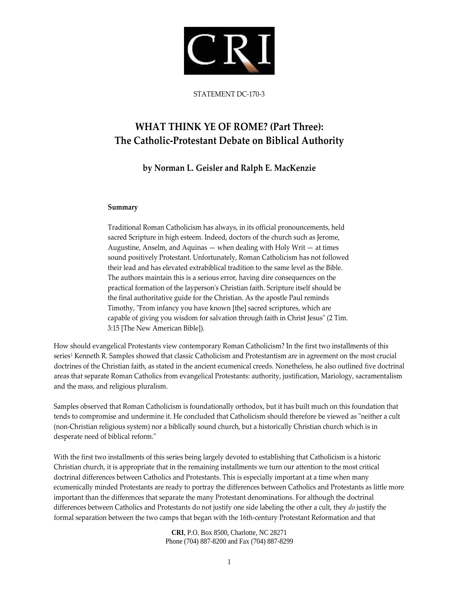

STATEMENT DC‐170‐3

# **WHAT THINK YE OF ROME? (Part Three): The Catholic‐Protestant Debate on Biblical Authority**

# **by Norman L. Geisler and Ralph E. MacKenzie**

# **Summary**

Traditional Roman Catholicism has always, in its official pronouncements, held sacred Scripture in high esteem. Indeed, doctors of the church such as Jerome, Augustine, Anselm, and Aquinas — when dealing with Holy Writ — at times sound positively Protestant. Unfortunately, Roman Catholicism has not followed their lead and has elevated extrabiblical tradition to the same level as the Bible. The authors maintain this is a serious error, having dire consequences on the practical formation of the laypersonʹs Christian faith. Scripture itself should be the final authoritative guide for the Christian. As the apostle Paul reminds Timothy, "From infancy you have known [the] sacred scriptures, which are capable of giving you wisdom for salvation through faith in Christ Jesus" (2 Tim. 3:15 [The New American Bible]).

How should evangelical Protestants view contemporary Roman Catholicism? In the first two installments of this series<sup>1</sup> Kenneth R. Samples showed that classic Catholicism and Protestantism are in agreement on the most crucial doctrines of the Christian faith, as stated in the ancient ecumenical creeds. Nonetheless, he also outlined five doctrinal areas that separate Roman Catholics from evangelical Protestants: authority, justification, Mariology, sacramentalism and the mass, and religious pluralism.

Samples observed that Roman Catholicism is foundationally orthodox, but it has built much on this foundation that tends to compromise and undermine it. He concluded that Catholicism should therefore be viewed as "neither a cult (non‐Christian religious system) nor a biblically sound church, but a historically Christian church which is in desperate need of biblical reform."

With the first two installments of this series being largely devoted to establishing that Catholicism is a historic Christian church, it is appropriate that in the remaining installments we turn our attention to the most critical doctrinal differences between Catholics and Protestants. This is especially important at a time when many ecumenically minded Protestants are ready to portray the differences between Catholics and Protestants as little more important than the differences that separate the many Protestant denominations. For although the doctrinal differences between Catholics and Protestants do not justify one side labeling the other a cult, they *do* justify the formal separation between the two camps that began with the 16th‐century Protestant Reformation and that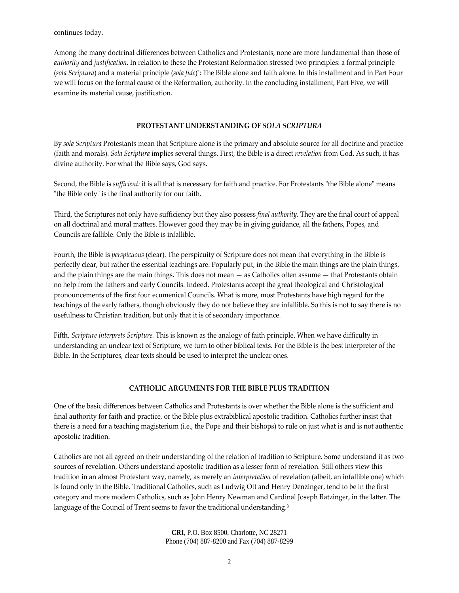continues today.

Among the many doctrinal differences between Catholics and Protestants, none are more fundamental than those of *authority* and *justification.* In relation to these the Protestant Reformation stressed two principles: a formal principle (*sola Scriptura*) and a material principle (*sola fide*)2: The Bible alone and faith alone. In this installment and in Part Four we will focus on the formal cause of the Reformation, authority. In the concluding installment, Part Five, we will examine its material cause, justification.

# **PROTESTANT UNDERSTANDING OF** *SOLA SCRIPTURA*

By *sola Scriptura* Protestants mean that Scripture alone is the primary and absolute source for all doctrine and practice (faith and morals). *Sola Scriptura* implies several things. First, the Bible is a direct *revelation* from God. As such, it has divine authority. For what the Bible says, God says.

Second, the Bible is *sufficient:* it is all that is necessary for faith and practice. For Protestants "the Bible alone" means "the Bible only" is the final authority for our faith.

Third, the Scriptures not only have sufficiency but they also possess *final authority.* They are the final court of appeal on all doctrinal and moral matters. However good they may be in giving guidance, all the fathers, Popes, and Councils are fallible. Only the Bible is infallible.

Fourth, the Bible is *perspicuous* (clear). The perspicuity of Scripture does not mean that everything in the Bible is perfectly clear, but rather the essential teachings are. Popularly put, in the Bible the main things are the plain things, and the plain things are the main things. This does not mean — as Catholics often assume — that Protestants obtain no help from the fathers and early Councils. Indeed, Protestants accept the great theological and Christological pronouncements of the first four ecumenical Councils. What is more, most Protestants have high regard for the teachings of the early fathers, though obviously they do not believe they are infallible. So this is not to say there is no usefulness to Christian tradition, but only that it is of secondary importance.

Fifth, *Scripture interprets Scripture.* This is known as the analogy of faith principle. When we have difficulty in understanding an unclear text of Scripture, we turn to other biblical texts. For the Bible is the best interpreter of the Bible. In the Scriptures, clear texts should be used to interpret the unclear ones.

# **CATHOLIC ARGUMENTS FOR THE BIBLE PLUS TRADITION**

One of the basic differences between Catholics and Protestants is over whether the Bible alone is the sufficient and final authority for faith and practice, or the Bible plus extrabiblical apostolic tradition. Catholics further insist that there is a need for a teaching magisterium (i.e., the Pope and their bishops) to rule on just what is and is not authentic apostolic tradition.

Catholics are not all agreed on their understanding of the relation of tradition to Scripture. Some understand it as two sources of revelation. Others understand apostolic tradition as a lesser form of revelation. Still others view this tradition in an almost Protestant way, namely, as merely an *interpretation* of revelation (albeit, an infallible one) which is found only in the Bible. Traditional Catholics, such as Ludwig Ott and Henry Denzinger, tend to be in the first category and more modern Catholics, such as John Henry Newman and Cardinal Joseph Ratzinger, in the latter. The language of the Council of Trent seems to favor the traditional understanding.<sup>3</sup>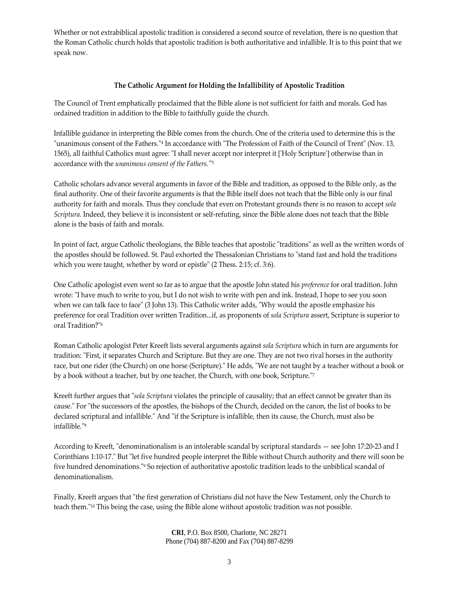Whether or not extrabiblical apostolic tradition is considered a second source of revelation, there is no question that the Roman Catholic church holds that apostolic tradition is both authoritative and infallible. It is to this point that we speak now.

## **The Catholic Argument for Holding the Infallibility of Apostolic Tradition**

The Council of Trent emphatically proclaimed that the Bible alone is not sufficient for faith and morals. God has ordained tradition in addition to the Bible to faithfully guide the church.

Infallible guidance in interpreting the Bible comes from the church. One of the criteria used to determine this is the "unanimous consent of the Fathers."<sup>4</sup> In accordance with "The Profession of Faith of the Council of Trent" (Nov. 13, 1565), all faithful Catholics must agree: "I shall never accept nor interpret it ['Holy Scripture'] otherwise than in accordance with the *unanimous consent of the Fathers.ʺ*<sup>5</sup>

Catholic scholars advance several arguments in favor of the Bible and tradition, as opposed to the Bible only, as the final authority. One of their favorite arguments is that the Bible itself does not teach that the Bible only is our final authority for faith and morals. Thus they conclude that even on Protestant grounds there is no reason to accept *sola Scriptura.* Indeed, they believe it is inconsistent or self‐refuting, since the Bible alone does not teach that the Bible alone is the basis of faith and morals.

In point of fact, argue Catholic theologians, the Bible teaches that apostolic "traditions" as well as the written words of the apostles should be followed. St. Paul exhorted the Thessalonian Christians to "stand fast and hold the traditions which you were taught, whether by word or epistle" (2 Thess. 2:15; cf. 3:6).

One Catholic apologist even went so far as to argue that the apostle John stated his *preference* for oral tradition. John wrote: "I have much to write to you, but I do not wish to write with pen and ink. Instead, I hope to see you soon when we can talk face to face" (3 John 13). This Catholic writer adds, "Why would the apostle emphasize his preference for oral Tradition over written Tradition...if, as proponents of *sola Scriptura* assert, Scripture is superior to oral Tradition?"<sup>6</sup>

Roman Catholic apologist Peter Kreeft lists several arguments against *sola Scriptura* which in turn are arguments for tradition: "First, it separates Church and Scripture. But they are one. They are not two rival horses in the authority race, but one rider (the Church) on one horse (Scripture)." He adds, "We are not taught by a teacher without a book or by a book without a teacher, but by one teacher, the Church, with one book, Scripture."7

Kreeft further argues that "*sola Scriptura* violates the principle of causality; that an effect cannot be greater than its cause." For "the successors of the apostles, the bishops of the Church, decided on the canon, the list of books to be declared scriptural and infallible." And "if the Scripture is infallible, then its cause, the Church, must also be infallible."<sup>8</sup>

According to Kreeft, "denominationalism is an intolerable scandal by scriptural standards — see John 17:20-23 and I Corinthians 1:10-17." But "let five hundred people interpret the Bible without Church authority and there will soon be five hundred denominations."<sup>9</sup> So rejection of authoritative apostolic tradition leads to the unbiblical scandal of denominationalism.

Finally, Kreeft argues that "the first generation of Christians did not have the New Testament, only the Church to teach them.ʺ<sup>10</sup> This being the case, using the Bible alone without apostolic tradition was not possible.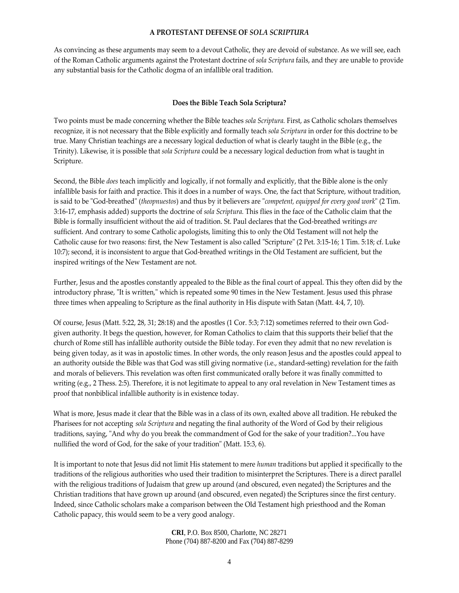## **A PROTESTANT DEFENSE OF** *SOLA SCRIPTURA*

As convincing as these arguments may seem to a devout Catholic, they are devoid of substance. As we will see, each of the Roman Catholic arguments against the Protestant doctrine of *sola Scriptura* fails, and they are unable to provide any substantial basis for the Catholic dogma of an infallible oral tradition.

# **Does the Bible Teach Sola Scriptura?**

Two points must be made concerning whether the Bible teaches *sola Scriptura.* First, as Catholic scholars themselves recognize, it is not necessary that the Bible explicitly and formally teach *sola Scriptura* in order for this doctrine to be true. Many Christian teachings are a necessary logical deduction of what is clearly taught in the Bible (e.g., the Trinity). Likewise, it is possible that *sola Scriptura* could be a necessary logical deduction from what is taught in Scripture.

Second, the Bible *does* teach implicitly and logically, if not formally and explicitly, that the Bible alone is the only infallible basis for faith and practice. This it does in a number of ways. One, the fact that Scripture, without tradition, is said to be "God-breathed" (*theopnuestos*) and thus by it believers are "*competent, equipped for every good work*" (2 Tim. 3:16‐17, emphasis added) supports the doctrine of *sola Scriptura.* This flies in the face of the Catholic claim that the Bible is formally insufficient without the aid of tradition. St. Paul declares that the God‐breathed writings *are* sufficient. And contrary to some Catholic apologists, limiting this to only the Old Testament will not help the Catholic cause for two reasons: first, the New Testament is also called "Scripture" (2 Pet. 3:15-16; 1 Tim. 5:18; cf. Luke 10:7); second, it is inconsistent to argue that God‐breathed writings in the Old Testament are sufficient, but the inspired writings of the New Testament are not.

Further, Jesus and the apostles constantly appealed to the Bible as the final court of appeal. This they often did by the introductory phrase, "It is written," which is repeated some 90 times in the New Testament. Jesus used this phrase three times when appealing to Scripture as the final authority in His dispute with Satan (Matt. 4:4, 7, 10).

Of course, Jesus (Matt. 5:22, 28, 31; 28:18) and the apostles (1 Cor. 5:3; 7:12) sometimes referred to their own God‐ given authority. It begs the question, however, for Roman Catholics to claim that this supports their belief that the church of Rome still has infallible authority outside the Bible today. For even they admit that no new revelation is being given today, as it was in apostolic times. In other words, the only reason Jesus and the apostles could appeal to an authority outside the Bible was that God was still giving normative (i.e., standard‐setting) revelation for the faith and morals of believers. This revelation was often first communicated orally before it was finally committed to writing (e.g., 2 Thess. 2:5). Therefore, it is not legitimate to appeal to any oral revelation in New Testament times as proof that nonbiblical infallible authority is in existence today.

What is more, Jesus made it clear that the Bible was in a class of its own, exalted above all tradition. He rebuked the Pharisees for not accepting *sola Scriptura* and negating the final authority of the Word of God by their religious traditions, saying, "And why do you break the commandment of God for the sake of your tradition?...You have nullified the word of God, for the sake of your tradition" (Matt. 15:3, 6).

It is important to note that Jesus did not limit His statement to mere *human* traditions but applied it specifically to the traditions of the religious authorities who used their tradition to misinterpret the Scriptures. There is a direct parallel with the religious traditions of Judaism that grew up around (and obscured, even negated) the Scriptures and the Christian traditions that have grown up around (and obscured, even negated) the Scriptures since the first century. Indeed, since Catholic scholars make a comparison between the Old Testament high priesthood and the Roman Catholic papacy, this would seem to be a very good analogy.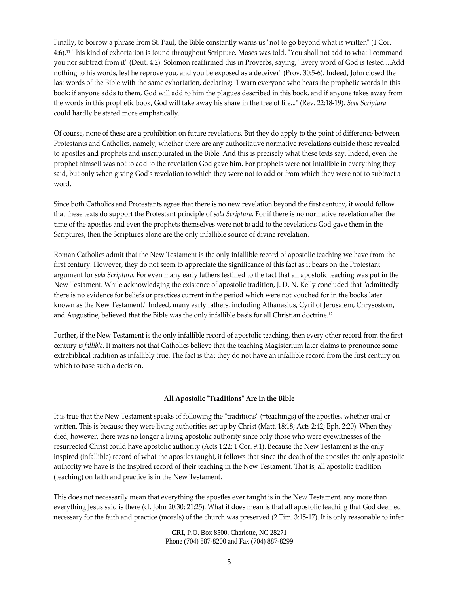Finally, to borrow a phrase from St. Paul, the Bible constantly warns us "not to go beyond what is written" (1 Cor. 4:6).<sup>11</sup> This kind of exhortation is found throughout Scripture. Moses was told, "You shall not add to what I command you nor subtract from it" (Deut. 4:2). Solomon reaffirmed this in Proverbs, saying, "Every word of God is tested....Add nothing to his words, lest he reprove you, and you be exposed as a deceiver" (Prov. 30:5-6). Indeed, John closed the last words of the Bible with the same exhortation, declaring: "I warn everyone who hears the prophetic words in this book: if anyone adds to them, God will add to him the plagues described in this book, and if anyone takes away from the words in this prophetic book, God will take away his share in the tree of life..." (Rev. 22:18-19). *Sola Scriptura* could hardly be stated more emphatically.

Of course, none of these are a prohibition on future revelations. But they do apply to the point of difference between Protestants and Catholics, namely, whether there are any authoritative normative revelations outside those revealed to apostles and prophets and inscripturated in the Bible. And this is precisely what these texts say. Indeed, even the prophet himself was not to add to the revelation God gave him. For prophets were not infallible in everything they said, but only when giving God's revelation to which they were not to add or from which they were not to subtract a word.

Since both Catholics and Protestants agree that there is no new revelation beyond the first century, it would follow that these texts do support the Protestant principle of *sola Scriptura.* For if there is no normative revelation after the time of the apostles and even the prophets themselves were not to add to the revelations God gave them in the Scriptures, then the Scriptures alone are the only infallible source of divine revelation.

Roman Catholics admit that the New Testament is the only infallible record of apostolic teaching we have from the first century. However, they do not seem to appreciate the significance of this fact as it bears on the Protestant argument for *sola Scriptura.* For even many early fathers testified to the fact that all apostolic teaching was put in the New Testament. While acknowledging the existence of apostolic tradition, J. D. N. Kelly concluded that "admittedly there is no evidence for beliefs or practices current in the period which were not vouched for in the books later known as the New Testament." Indeed, many early fathers, including Athanasius, Cyril of Jerusalem, Chrysostom, and Augustine, believed that the Bible was the only infallible basis for all Christian doctrine.12

Further, if the New Testament is the only infallible record of apostolic teaching, then every other record from the first century *is fallible.* It matters not that Catholics believe that the teaching Magisterium later claims to pronounce some extrabiblical tradition as infallibly true. The fact is that they do not have an infallible record from the first century on which to base such a decision.

# **All Apostolic ʺTraditionsʺ Are in the Bible**

It is true that the New Testament speaks of following the "traditions" (=teachings) of the apostles, whether oral or written. This is because they were living authorities set up by Christ (Matt. 18:18; Acts 2:42; Eph. 2:20). When they died, however, there was no longer a living apostolic authority since only those who were eyewitnesses of the resurrected Christ could have apostolic authority (Acts 1:22; 1 Cor. 9:1). Because the New Testament is the only inspired (infallible) record of what the apostles taught, it follows that since the death of the apostles the only apostolic authority we have is the inspired record of their teaching in the New Testament. That is, all apostolic tradition (teaching) on faith and practice is in the New Testament.

This does not necessarily mean that everything the apostles ever taught is in the New Testament, any more than everything Jesus said is there (cf. John 20:30; 21:25). What it does mean is that all apostolic teaching that God deemed necessary for the faith and practice (morals) of the church was preserved (2 Tim. 3:15‐17). It is only reasonable to infer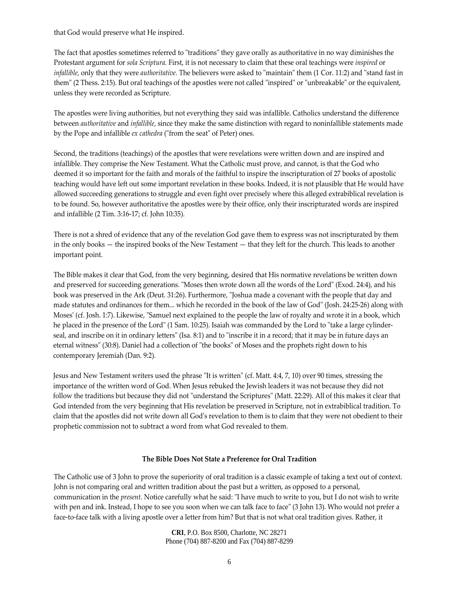that God would preserve what He inspired.

The fact that apostles sometimes referred to "traditions" they gave orally as authoritative in no way diminishes the Protestant argument for *sola Scriptura.* First, it is not necessary to claim that these oral teachings were *inspired* or *infallible*, only that they were *authoritative*. The believers were asked to "maintain" them (1 Cor. 11:2) and "stand fast in them" (2 Thess. 2:15). But oral teachings of the apostles were not called "inspired" or "unbreakable" or the equivalent, unless they were recorded as Scripture.

The apostles were living authorities, but not everything they said was infallible. Catholics understand the difference between *authoritative* and *infallible,* since they make the same distinction with regard to noninfallible statements made by the Pope and infallible *ex cathedra* ("from the seat" of Peter) ones.

Second, the traditions (teachings) of the apostles that were revelations were written down and are inspired and infallible. They comprise the New Testament. What the Catholic must prove, and cannot, is that the God who deemed it so important for the faith and morals of the faithful to inspire the inscripturation of 27 books of apostolic teaching would have left out some important revelation in these books. Indeed, it is not plausible that He would have allowed succeeding generations to struggle and even fight over precisely where this alleged extrabiblical revelation is to be found. So, however authoritative the apostles were by their office, only their inscripturated words are inspired and infallible (2 Tim. 3:16‐17; cf. John 10:35).

There is not a shred of evidence that any of the revelation God gave them to express was not inscripturated by them in the only books — the inspired books of the New Testament — that they left for the church. This leads to another important point.

The Bible makes it clear that God, from the very beginning, desired that His normative revelations be written down and preserved for succeeding generations. "Moses then wrote down all the words of the Lord" (Exod. 24:4), and his book was preserved in the Ark (Deut. 31:26). Furthermore, "Joshua made a covenant with the people that day and made statutes and ordinances for them... which he recorded in the book of the law of God" (Josh. 24:25-26) along with Moses' (cf. Josh. 1:7). Likewise, "Samuel next explained to the people the law of royalty and wrote it in a book, which he placed in the presence of the Lord" (1 Sam. 10:25). Isaiah was commanded by the Lord to "take a large cylinderseal, and inscribe on it in ordinary letters" (Isa. 8:1) and to "inscribe it in a record; that it may be in future days an eternal witness" (30:8). Daniel had a collection of "the books" of Moses and the prophets right down to his contemporary Jeremiah (Dan. 9:2).

Jesus and New Testament writers used the phrase "It is written" (cf. Matt. 4:4, 7, 10) over 90 times, stressing the importance of the written word of God. When Jesus rebuked the Jewish leaders it was not because they did not follow the traditions but because they did not "understand the Scriptures" (Matt. 22:29). All of this makes it clear that God intended from the very beginning that His revelation be preserved in Scripture, not in extrabiblical tradition. To claim that the apostles did not write down all Godʹs revelation to them is to claim that they were not obedient to their prophetic commission not to subtract a word from what God revealed to them.

# **The Bible Does Not State a Preference for Oral Tradition**

The Catholic use of 3 John to prove the superiority of oral tradition is a classic example of taking a text out of context. John is not comparing oral and written tradition about the past but a written, as opposed to a personal, communication in the *present*. Notice carefully what he said: "I have much to write to you, but I do not wish to write with pen and ink. Instead, I hope to see you soon when we can talk face to face" (3 John 13). Who would not prefer a face-to-face talk with a living apostle over a letter from him? But that is not what oral tradition gives. Rather, it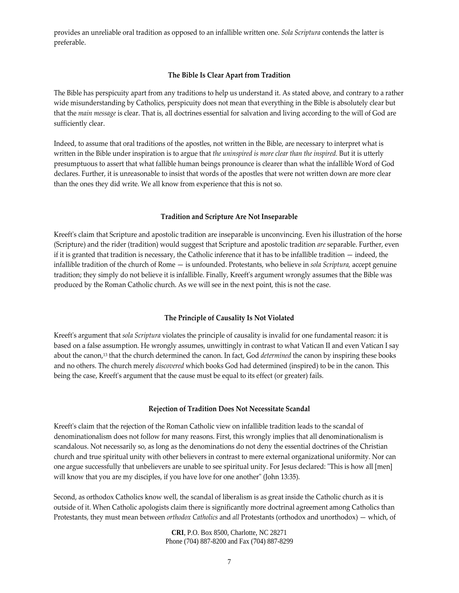provides an unreliable oral tradition as opposed to an infallible written one. *Sola Scriptura* contends the latter is preferable.

#### **The Bible Is Clear Apart from Tradition**

The Bible has perspicuity apart from any traditions to help us understand it. As stated above, and contrary to a rather wide misunderstanding by Catholics, perspicuity does not mean that everything in the Bible is absolutely clear but that the *main message* is clear. That is, all doctrines essential for salvation and living according to the will of God are sufficiently clear.

Indeed, to assume that oral traditions of the apostles, not written in the Bible, are necessary to interpret what is written in the Bible under inspiration is to argue that *the uninspired is more clear than the inspired.* But it is utterly presumptuous to assert that what fallible human beings pronounce is clearer than what the infallible Word of God declares. Further, it is unreasonable to insist that words of the apostles that were not written down are more clear than the ones they did write. We all know from experience that this is not so.

#### **Tradition and Scripture Are Not Inseparable**

Kreeft's claim that Scripture and apostolic tradition are inseparable is unconvincing. Even his illustration of the horse (Scripture) and the rider (tradition) would suggest that Scripture and apostolic tradition *are* separable. Further, even if it is granted that tradition is necessary, the Catholic inference that it has to be infallible tradition  $-$  indeed, the infallible tradition of the church of Rome — is unfounded. Protestants, who believe in *sola Scriptura,* accept genuine tradition; they simply do not believe it is infallible. Finally, Kreeftʹs argument wrongly assumes that the Bible was produced by the Roman Catholic church. As we will see in the next point, this is not the case.

#### **The Principle of Causality Is Not Violated**

Kreeftʹs argument that *sola Scriptura* violates the principle of causality is invalid for one fundamental reason: it is based on a false assumption. He wrongly assumes, unwittingly in contrast to what Vatican II and even Vatican I say about the canon,13 that the church determined the canon. In fact, God *determined* the canon by inspiring these books and no others. The church merely *discovered* which books God had determined (inspired) to be in the canon. This being the case, Kreeft's argument that the cause must be equal to its effect (or greater) fails.

#### **Rejection of Tradition Does Not Necessitate Scandal**

Kreeftʹs claim that the rejection of the Roman Catholic view on infallible tradition leads to the scandal of denominationalism does not follow for many reasons. First, this wrongly implies that all denominationalism is scandalous. Not necessarily so, as long as the denominations do not deny the essential doctrines of the Christian church and true spiritual unity with other believers in contrast to mere external organizational uniformity. Nor can one argue successfully that unbelievers are unable to see spiritual unity. For Jesus declared: "This is how all [men] will know that you are my disciples, if you have love for one another" (John 13:35).

Second, as orthodox Catholics know well, the scandal of liberalism is as great inside the Catholic church as it is outside of it. When Catholic apologists claim there is significantly more doctrinal agreement among Catholics than Protestants, they must mean between *orthodox Catholics* and *all* Protestants (orthodox and unorthodox) — which, of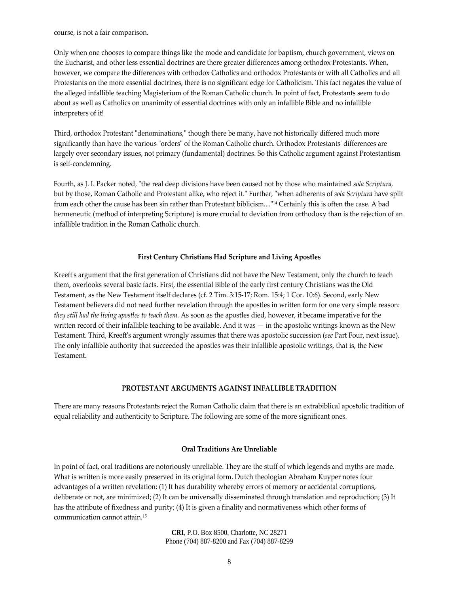course, is not a fair comparison.

Only when one chooses to compare things like the mode and candidate for baptism, church government, views on the Eucharist, and other less essential doctrines are there greater differences among orthodox Protestants. When, however, we compare the differences with orthodox Catholics and orthodox Protestants or with all Catholics and all Protestants on the more essential doctrines, there is no significant edge for Catholicism. This fact negates the value of the alleged infallible teaching Magisterium of the Roman Catholic church. In point of fact, Protestants seem to do about as well as Catholics on unanimity of essential doctrines with only an infallible Bible and no infallible interpreters of it!

Third, orthodox Protestant "denominations," though there be many, have not historically differed much more significantly than have the various "orders" of the Roman Catholic church. Orthodox Protestants' differences are largely over secondary issues, not primary (fundamental) doctrines. So this Catholic argument against Protestantism is self‐condemning.

Fourth, as J. I. Packer noted, "the real deep divisions have been caused not by those who maintained *sola Scriptura*, but by those, Roman Catholic and Protestant alike, who reject it." Further, "when adherents of *sola Scriptura* have split from each other the cause has been sin rather than Protestant biblicism...."<sup>14</sup> Certainly this is often the case. A bad hermeneutic (method of interpreting Scripture) is more crucial to deviation from orthodoxy than is the rejection of an infallible tradition in the Roman Catholic church.

#### **First Century Christians Had Scripture and Living Apostles**

Kreeft's argument that the first generation of Christians did not have the New Testament, only the church to teach them, overlooks several basic facts. First, the essential Bible of the early first century Christians was the Old Testament, as the New Testament itself declares (cf. 2 Tim. 3:15‐17; Rom. 15:4; 1 Cor. 10:6). Second, early New Testament believers did not need further revelation through the apostles in written form for one very simple reason: *they still had the living apostles to teach them.* As soon as the apostles died, however, it became imperative for the written record of their infallible teaching to be available. And it was — in the apostolic writings known as the New Testament. Third, Kreeftʹs argument wrongly assumes that there was apostolic succession (*see* Part Four, next issue). The only infallible authority that succeeded the apostles was their infallible apostolic writings, that is, the New Testament.

## **PROTESTANT ARGUMENTS AGAINST INFALLIBLE TRADITION**

There are many reasons Protestants reject the Roman Catholic claim that there is an extrabiblical apostolic tradition of equal reliability and authenticity to Scripture. The following are some of the more significant ones.

## **Oral Traditions Are Unreliable**

In point of fact, oral traditions are notoriously unreliable. They are the stuff of which legends and myths are made. What is written is more easily preserved in its original form. Dutch theologian Abraham Kuyper notes four advantages of a written revelation: (1) It has durability whereby errors of memory or accidental corruptions, deliberate or not, are minimized; (2) It can be universally disseminated through translation and reproduction; (3) It has the attribute of fixedness and purity; (4) It is given a finality and normativeness which other forms of communication cannot attain.15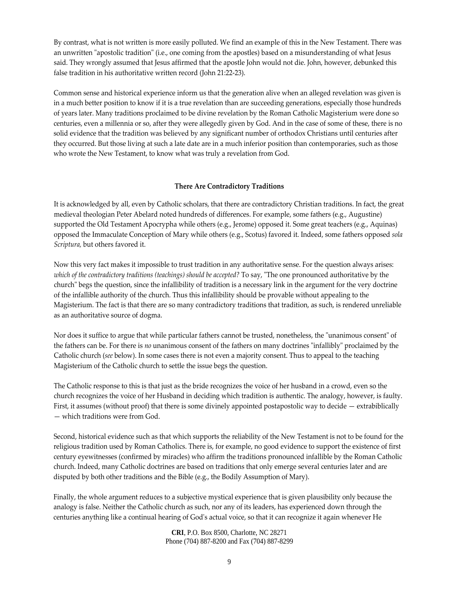By contrast, what is not written is more easily polluted. We find an example of this in the New Testament. There was an unwritten "apostolic tradition" (i.e., one coming from the apostles) based on a misunderstanding of what Jesus said. They wrongly assumed that Jesus affirmed that the apostle John would not die. John, however, debunked this false tradition in his authoritative written record (John 21:22‐23).

Common sense and historical experience inform us that the generation alive when an alleged revelation was given is in a much better position to know if it is a true revelation than are succeeding generations, especially those hundreds of years later. Many traditions proclaimed to be divine revelation by the Roman Catholic Magisterium were done so centuries, even a millennia or so, after they were allegedly given by God. And in the case of some of these, there is no solid evidence that the tradition was believed by any significant number of orthodox Christians until centuries after they occurred. But those living at such a late date are in a much inferior position than contemporaries, such as those who wrote the New Testament, to know what was truly a revelation from God.

# **There Are Contradictory Traditions**

It is acknowledged by all, even by Catholic scholars, that there are contradictory Christian traditions. In fact, the great medieval theologian Peter Abelard noted hundreds of differences. For example, some fathers (e.g., Augustine) supported the Old Testament Apocrypha while others (e.g., Jerome) opposed it. Some great teachers (e.g., Aquinas) opposed the Immaculate Conception of Mary while others (e.g., Scotus) favored it. Indeed, some fathers opposed *sola Scriptura,* but others favored it.

Now this very fact makes it impossible to trust tradition in any authoritative sense. For the question always arises: *which of the contradictory traditions (teachings) should be accepted?* To say, ʺThe one pronounced authoritative by the churchʺ begs the question, since the infallibility of tradition is a necessary link in the argument for the very doctrine of the infallible authority of the church. Thus this infallibility should be provable without appealing to the Magisterium. The fact is that there are so many contradictory traditions that tradition, as such, is rendered unreliable as an authoritative source of dogma.

Nor does it suffice to argue that while particular fathers cannot be trusted, nonetheless, the "unanimous consent" of the fathers can be. For there is *no* unanimous consent of the fathers on many doctrines "infallibly" proclaimed by the Catholic church (*see* below). In some cases there is not even a majority consent. Thus to appeal to the teaching Magisterium of the Catholic church to settle the issue begs the question.

The Catholic response to this is that just as the bride recognizes the voice of her husband in a crowd, even so the church recognizes the voice of her Husband in deciding which tradition is authentic. The analogy, however, is faulty. First, it assumes (without proof) that there is some divinely appointed postapostolic way to decide — extrabiblically — which traditions were from God.

Second, historical evidence such as that which supports the reliability of the New Testament is not to be found for the religious tradition used by Roman Catholics. There is, for example, no good evidence to support the existence of first century eyewitnesses (confirmed by miracles) who affirm the traditions pronounced infallible by the Roman Catholic church. Indeed, many Catholic doctrines are based on traditions that only emerge several centuries later and are disputed by both other traditions and the Bible (e.g., the Bodily Assumption of Mary).

Finally, the whole argument reduces to a subjective mystical experience that is given plausibility only because the analogy is false. Neither the Catholic church as such, nor any of its leaders, has experienced down through the centuries anything like a continual hearing of Godʹs actual voice, so that it can recognize it again whenever He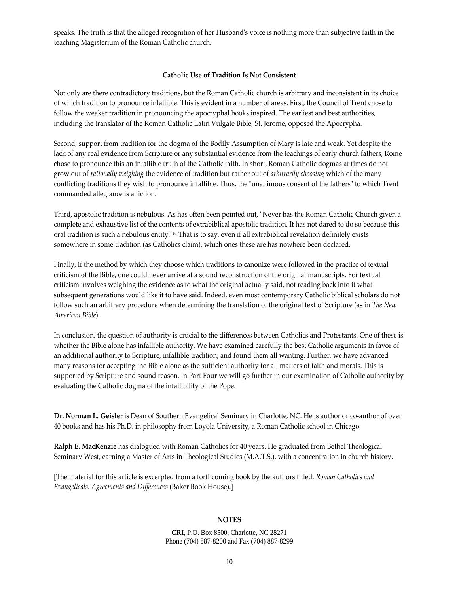speaks. The truth is that the alleged recognition of her Husbandʹs voice is nothing more than subjective faith in the teaching Magisterium of the Roman Catholic church.

# **Catholic Use of Tradition Is Not Consistent**

Not only are there contradictory traditions, but the Roman Catholic church is arbitrary and inconsistent in its choice of which tradition to pronounce infallible. This is evident in a number of areas. First, the Council of Trent chose to follow the weaker tradition in pronouncing the apocryphal books inspired. The earliest and best authorities, including the translator of the Roman Catholic Latin Vulgate Bible, St. Jerome, opposed the Apocrypha.

Second, support from tradition for the dogma of the Bodily Assumption of Mary is late and weak. Yet despite the lack of any real evidence from Scripture or any substantial evidence from the teachings of early church fathers, Rome chose to pronounce this an infallible truth of the Catholic faith. In short, Roman Catholic dogmas at times do not grow out of *rationally weighing* the evidence of tradition but rather out of *arbitrarily choosing* which of the many conflicting traditions they wish to pronounce infallible. Thus, the "unanimous consent of the fathers" to which Trent commanded allegiance is a fiction.

Third, apostolic tradition is nebulous. As has often been pointed out, "Never has the Roman Catholic Church given a complete and exhaustive list of the contents of extrabiblical apostolic tradition. It has not dared to do so because this oral tradition is such a nebulous entity.<sup>"16</sup> That is to say, even if all extrabiblical revelation definitely exists somewhere in some tradition (as Catholics claim), which ones these are has nowhere been declared.

Finally, if the method by which they choose which traditions to canonize were followed in the practice of textual criticism of the Bible, one could never arrive at a sound reconstruction of the original manuscripts. For textual criticism involves weighing the evidence as to what the original actually said, not reading back into it what subsequent generations would like it to have said. Indeed, even most contemporary Catholic biblical scholars do not follow such an arbitrary procedure when determining the translation of the original text of Scripture (as in *The New American Bible*).

In conclusion, the question of authority is crucial to the differences between Catholics and Protestants. One of these is whether the Bible alone has infallible authority. We have examined carefully the best Catholic arguments in favor of an additional authority to Scripture, infallible tradition, and found them all wanting. Further, we have advanced many reasons for accepting the Bible alone as the sufficient authority for all matters of faith and morals. This is supported by Scripture and sound reason. In Part Four we will go further in our examination of Catholic authority by evaluating the Catholic dogma of the infallibility of the Pope.

**Dr. Norman L. Geisler** is Dean of Southern Evangelical Seminary in Charlotte, NC. He is author or co‐author of over 40 books and has his Ph.D. in philosophy from Loyola University, a Roman Catholic school in Chicago.

**Ralph E. MacKenzie** has dialogued with Roman Catholics for 40 years. He graduated from Bethel Theological Seminary West, earning a Master of Arts in Theological Studies (M.A.T.S.), with a concentration in church history.

[The material for this article is excerpted from a forthcoming book by the authors titled, *Roman Catholics and Evangelicals: Agreements and Differences* (Baker Book House).]

# **NOTES**